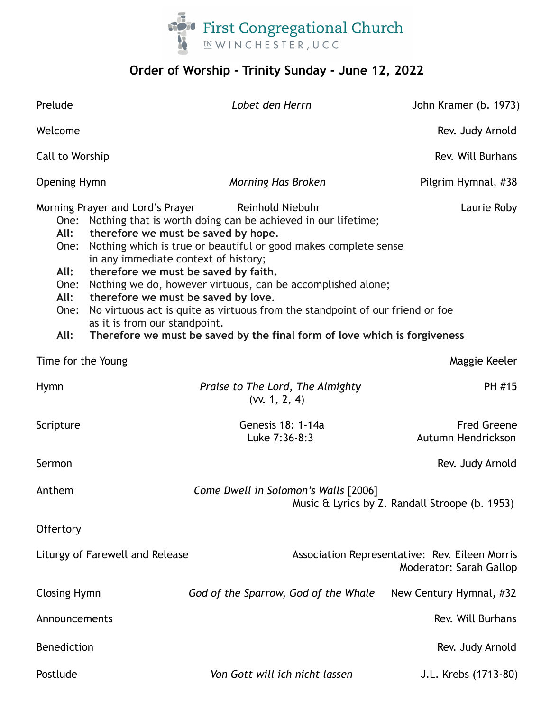

# **Order of Worship - Trinity Sunday - June 12, 2022**

| Prelude                                                                                                                                                                                                                                                                                                                                                                                                                                                                                                                                                                                                                                                                                         |  | Lobet den Herrn                                   | John Kramer (b. 1973)                                                     |
|-------------------------------------------------------------------------------------------------------------------------------------------------------------------------------------------------------------------------------------------------------------------------------------------------------------------------------------------------------------------------------------------------------------------------------------------------------------------------------------------------------------------------------------------------------------------------------------------------------------------------------------------------------------------------------------------------|--|---------------------------------------------------|---------------------------------------------------------------------------|
| Welcome                                                                                                                                                                                                                                                                                                                                                                                                                                                                                                                                                                                                                                                                                         |  |                                                   | Rev. Judy Arnold                                                          |
| Call to Worship                                                                                                                                                                                                                                                                                                                                                                                                                                                                                                                                                                                                                                                                                 |  |                                                   | Rev. Will Burhans                                                         |
| <b>Opening Hymn</b>                                                                                                                                                                                                                                                                                                                                                                                                                                                                                                                                                                                                                                                                             |  | Morning Has Broken                                | Pilgrim Hymnal, #38                                                       |
| Morning Prayer and Lord's Prayer<br>Reinhold Niebuhr<br>Laurie Roby<br>One: Nothing that is worth doing can be achieved in our lifetime;<br>All:<br>therefore we must be saved by hope.<br>Nothing which is true or beautiful or good makes complete sense<br>One:<br>in any immediate context of history;<br>All:<br>therefore we must be saved by faith.<br>Nothing we do, however virtuous, can be accomplished alone;<br>One:<br>All:<br>therefore we must be saved by love.<br>No virtuous act is quite as virtuous from the standpoint of our friend or foe<br>One:<br>as it is from our standpoint.<br>All:<br>Therefore we must be saved by the final form of love which is forgiveness |  |                                                   |                                                                           |
| Time for the Young                                                                                                                                                                                                                                                                                                                                                                                                                                                                                                                                                                                                                                                                              |  |                                                   | Maggie Keeler                                                             |
| <b>Hymn</b>                                                                                                                                                                                                                                                                                                                                                                                                                                                                                                                                                                                                                                                                                     |  | Praise to The Lord, The Almighty<br>(vv. 1, 2, 4) | PH #15                                                                    |
| Scripture                                                                                                                                                                                                                                                                                                                                                                                                                                                                                                                                                                                                                                                                                       |  | Genesis 18: 1-14a<br>Luke 7:36-8:3                | <b>Fred Greene</b><br>Autumn Hendrickson                                  |
| Sermon                                                                                                                                                                                                                                                                                                                                                                                                                                                                                                                                                                                                                                                                                          |  |                                                   | Rev. Judy Arnold                                                          |
| Anthem                                                                                                                                                                                                                                                                                                                                                                                                                                                                                                                                                                                                                                                                                          |  | Come Dwell in Solomon's Walls [2006]              | Music & Lyrics by Z. Randall Stroope (b. 1953)                            |
| Offertory                                                                                                                                                                                                                                                                                                                                                                                                                                                                                                                                                                                                                                                                                       |  |                                                   |                                                                           |
| Liturgy of Farewell and Release                                                                                                                                                                                                                                                                                                                                                                                                                                                                                                                                                                                                                                                                 |  |                                                   | Association Representative: Rev. Eileen Morris<br>Moderator: Sarah Gallop |
| <b>Closing Hymn</b>                                                                                                                                                                                                                                                                                                                                                                                                                                                                                                                                                                                                                                                                             |  | God of the Sparrow, God of the Whale              | New Century Hymnal, #32                                                   |
| Announcements                                                                                                                                                                                                                                                                                                                                                                                                                                                                                                                                                                                                                                                                                   |  |                                                   | Rev. Will Burhans                                                         |
| <b>Benediction</b>                                                                                                                                                                                                                                                                                                                                                                                                                                                                                                                                                                                                                                                                              |  |                                                   | Rev. Judy Arnold                                                          |
| Postlude                                                                                                                                                                                                                                                                                                                                                                                                                                                                                                                                                                                                                                                                                        |  | Von Gott will ich nicht lassen                    | J.L. Krebs (1713-80)                                                      |